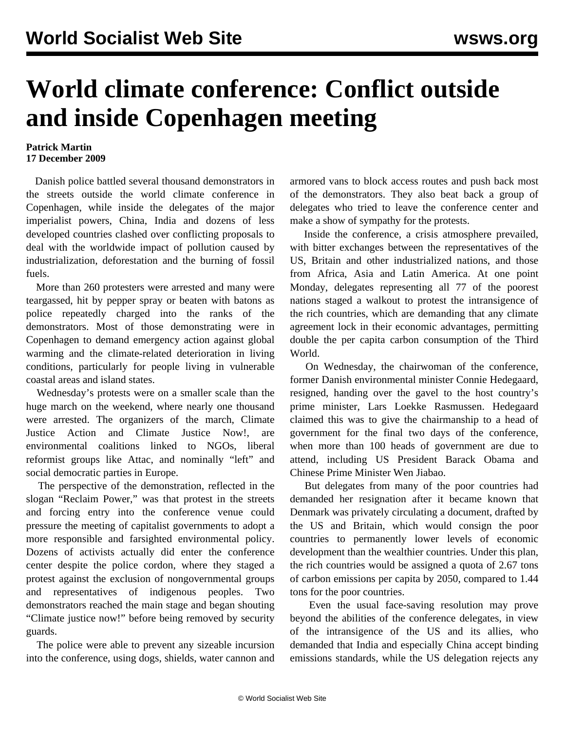## **World climate conference: Conflict outside and inside Copenhagen meeting**

## **Patrick Martin 17 December 2009**

 Danish police battled several thousand demonstrators in the streets outside the world climate conference in Copenhagen, while inside the delegates of the major imperialist powers, China, India and dozens of less developed countries clashed over conflicting proposals to deal with the worldwide impact of pollution caused by industrialization, deforestation and the burning of fossil fuels.

 More than 260 protesters were arrested and many were teargassed, hit by pepper spray or beaten with batons as police repeatedly charged into the ranks of the demonstrators. Most of those demonstrating were in Copenhagen to demand emergency action against global warming and the climate-related deterioration in living conditions, particularly for people living in vulnerable coastal areas and island states.

 Wednesday's protests were on a smaller scale than the huge march on the weekend, where nearly one thousand were arrested. The organizers of the march, Climate Justice Action and Climate Justice Now!, are environmental coalitions linked to NGOs, liberal reformist groups like Attac, and nominally "left" and social democratic parties in Europe.

 The perspective of the demonstration, reflected in the slogan "Reclaim Power," was that protest in the streets and forcing entry into the conference venue could pressure the meeting of capitalist governments to adopt a more responsible and farsighted environmental policy. Dozens of activists actually did enter the conference center despite the police cordon, where they staged a protest against the exclusion of nongovernmental groups and representatives of indigenous peoples. Two demonstrators reached the main stage and began shouting "Climate justice now!" before being removed by security guards.

 The police were able to prevent any sizeable incursion into the conference, using dogs, shields, water cannon and armored vans to block access routes and push back most of the demonstrators. They also beat back a group of delegates who tried to leave the conference center and make a show of sympathy for the protests.

 Inside the conference, a crisis atmosphere prevailed, with bitter exchanges between the representatives of the US, Britain and other industrialized nations, and those from Africa, Asia and Latin America. At one point Monday, delegates representing all 77 of the poorest nations staged a walkout to protest the intransigence of the rich countries, which are demanding that any climate agreement lock in their economic advantages, permitting double the per capita carbon consumption of the Third World.

 On Wednesday, the chairwoman of the conference, former Danish environmental minister Connie Hedegaard, resigned, handing over the gavel to the host country's prime minister, Lars Loekke Rasmussen. Hedegaard claimed this was to give the chairmanship to a head of government for the final two days of the conference, when more than 100 heads of government are due to attend, including US President Barack Obama and Chinese Prime Minister Wen Jiabao.

 But delegates from many of the poor countries had demanded her resignation after it became known that Denmark was privately circulating a document, drafted by the US and Britain, which would consign the poor countries to permanently lower levels of economic development than the wealthier countries. Under this plan, the rich countries would be assigned a quota of 2.67 tons of carbon emissions per capita by 2050, compared to 1.44 tons for the poor countries.

 Even the usual face-saving resolution may prove beyond the abilities of the conference delegates, in view of the intransigence of the US and its allies, who demanded that India and especially China accept binding emissions standards, while the US delegation rejects any